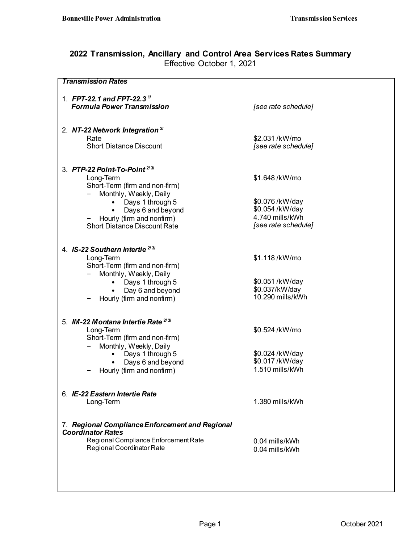## **2022 Transmission, Ancillary and Control Area Services Rates Summary** Effective October 1, 2021

| <b>Transmission Rates</b>                       |                                    |
|-------------------------------------------------|------------------------------------|
|                                                 |                                    |
| 1. FPT-22.1 and FPT-22.3 <sup>1/</sup>          |                                    |
| <b>Formula Power Transmission</b>               | [see rate schedule]                |
|                                                 |                                    |
|                                                 |                                    |
| 2. NT-22 Network Integration <sup>2/</sup>      |                                    |
| Rate                                            | \$2.031/kW/mo                      |
| <b>Short Distance Discount</b>                  | [see rate schedule]                |
|                                                 |                                    |
|                                                 |                                    |
| 3. PTP-22 Point-To-Point <sup>2/3/</sup>        |                                    |
| Long-Term                                       | \$1.648/kW/mo                      |
| Short-Term (firm and non-firm)                  |                                    |
| Monthly, Weekly, Daily                          |                                    |
| Days 1 through 5                                | \$0.076/kW/day                     |
| Days 6 and beyond<br>٠                          | \$0.054 /kW/day<br>4.740 mills/kWh |
| Hourly (firm and nonfirm)                       |                                    |
| <b>Short Distance Discount Rate</b>             | [see rate schedule]                |
|                                                 |                                    |
| 4. IS-22 Southern Intertie <sup>2/3/</sup>      |                                    |
| Long-Term                                       | \$1.118/kW/mo                      |
| Short-Term (firm and non-firm)                  |                                    |
| Monthly, Weekly, Daily                          |                                    |
| Days 1 through 5                                | \$0.051/kW/day                     |
| Day 6 and beyond                                | \$0.037/kW/day                     |
| Hourly (firm and nonfirm)                       | 10.290 mills/kWh                   |
|                                                 |                                    |
|                                                 |                                    |
| 5. IM-22 Montana Intertie Rate <sup>23/</sup>   |                                    |
| Long-Term                                       | \$0.524 /kW/mo                     |
| Short-Term (firm and non-firm)                  |                                    |
| Monthly, Weekly, Daily                          |                                    |
| Days 1 through 5                                | \$0.024/kW/day                     |
| Days 6 and beyond                               | \$0.017/kW/day                     |
| Hourly (firm and nonfirm)                       | 1.510 mills/kWh                    |
|                                                 |                                    |
|                                                 |                                    |
| 6. IE-22 Eastern Intertie Rate                  |                                    |
| Long-Term                                       | 1.380 mills/kWh                    |
|                                                 |                                    |
|                                                 |                                    |
| 7. Regional Compliance Enforcement and Regional |                                    |
| <b>Coordinator Rates</b>                        |                                    |
| Regional Compliance Enforcement Rate            | 0.04 mills/kWh                     |
| Regional Coordinator Rate                       | 0.04 mills/kWh                     |
|                                                 |                                    |
|                                                 |                                    |
|                                                 |                                    |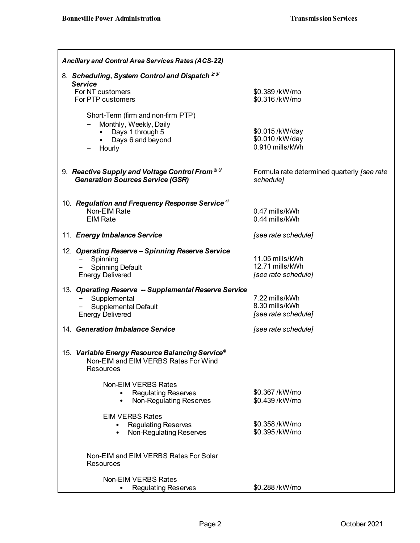| <b>Ancillary and Control Area Services Rates (ACS-22)</b>                                                                                                       |                                                           |
|-----------------------------------------------------------------------------------------------------------------------------------------------------------------|-----------------------------------------------------------|
| 8. Scheduling, System Control and Dispatch <sup>23</sup><br><b>Service</b>                                                                                      |                                                           |
| For NT customers<br>For PTP customers                                                                                                                           | \$0.389/kW/mo<br>\$0.316/kW/mo                            |
| Short-Term (firm and non-firm PTP)<br>Monthly, Weekly, Daily<br>• Days 1 through 5<br>Days 6 and beyond<br>$\bullet$<br>Hourly                                  | \$0.015/kW/day<br>\$0.010/kW/day<br>0.910 mills/kWh       |
| 9. Reactive Supply and Voltage Control From 23<br><b>Generation Sources Service (GSR)</b>                                                                       | Formula rate determined quarterly [see rate<br>schedule]  |
| 10. Regulation and Frequency Response Service <sup>4/</sup><br>Non-EIM Rate<br><b>EIM Rate</b>                                                                  | 0.47 mills/kWh<br>0.44 mills/kWh                          |
| 11. Energy Imbalance Service                                                                                                                                    | [see rate schedule]                                       |
| 12. Operating Reserve - Spinning Reserve Service<br>Spinning<br><b>Spinning Default</b><br><b>Energy Delivered</b>                                              | 11.05 mills/kWh<br>12.71 mills/kWh<br>[see rate schedule] |
| 13. Operating Reserve -- Supplemental Reserve Service<br>Supplemental<br>$\qquad \qquad \blacksquare$<br><b>Supplemental Default</b><br><b>Energy Delivered</b> | 7.22 mills/kWh<br>8.30 mills/kWh<br>[see rate schedule]   |
| 14. Generation Imbalance Service                                                                                                                                | [see rate schedule]                                       |
| 15. Variable Energy Resource Balancing Service <sup>4/</sup><br>Non-EIM and EIM VERBS Rates For Wind<br>Resources                                               |                                                           |
| Non-EIM VERBS Rates<br><b>Regulating Reserves</b><br>Non-Regulating Reserves                                                                                    | \$0.367/kW/mo<br>\$0.439/kW/mo                            |
| <b>EIM VERBS Rates</b><br><b>Regulating Reserves</b><br>Non-Regulating Reserves<br>$\bullet$                                                                    | \$0.358/kW/mo<br>\$0.395/kW/mo                            |
| Non-EIM and EIM VERBS Rates For Solar<br><b>Resources</b>                                                                                                       |                                                           |
| Non-EIM VERBS Rates<br><b>Regulating Reserves</b>                                                                                                               | \$0.288/kW/mo                                             |